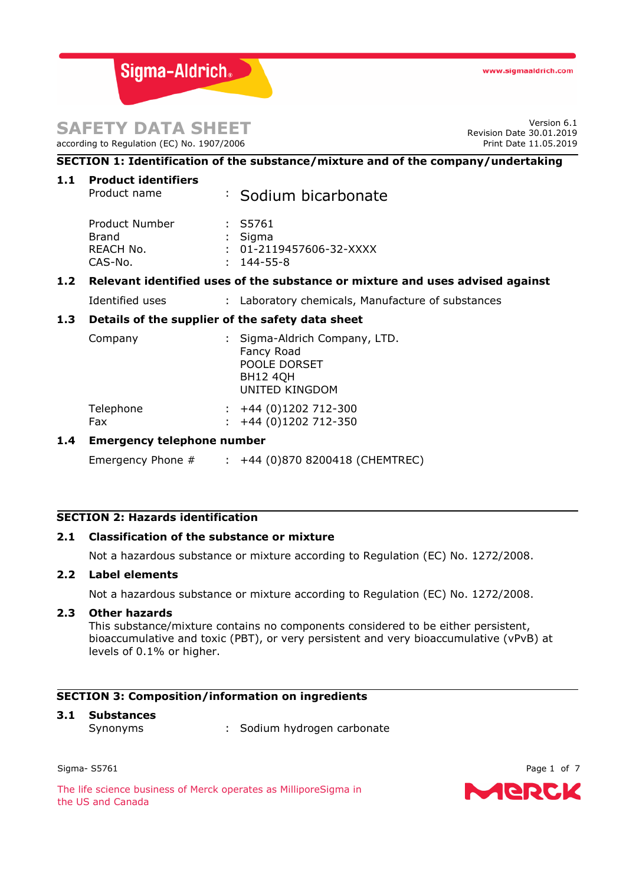Sigma-Aldrich.

# **SAFETY DATA SHEET**

according to Regulation (EC) No. 1907/2006

Version 6.1 Revision Date 30.01.2019 Print Date 11.05.2019

# **SECTION 1: Identification of the substance/mixture and of the company/undertaking**

**1.1 Product identifiers**

| Product name                                              | : Sodium bicarbonate                                                      |
|-----------------------------------------------------------|---------------------------------------------------------------------------|
| Product Number<br><b>Brand</b><br>REACH No.<br>$CAS-N0$ . | : S5761<br>: Sigma<br>$: 01 - 2119457606 - 32 - XXXX$<br>$: 144 - 55 - 8$ |
|                                                           |                                                                           |

# **1.2 Relevant identified uses of the substance or mixture and uses advised against**

Identified uses : Laboratory chemicals, Manufacture of substances

## **1.3 Details of the supplier of the safety data sheet**

| Company |  | : Sigma-Aldrich Company, LTD.<br>Fancy Road<br>POOLE DORSET |  |
|---------|--|-------------------------------------------------------------|--|
|         |  | <b>BH12 40H</b><br>UNITED KINGDOM                           |  |

| Telephone | $\div$ +44 (0)1202 712-300 |
|-----------|----------------------------|
| Fax       | $\div$ +44 (0)1202 712-350 |

## **1.4 Emergency telephone number**

Emergency Phone  $\#$  :  $+44$  (0)870 8200418 (CHEMTREC)

#### **SECTION 2: Hazards identification**

#### **2.1 Classification of the substance or mixture**

Not a hazardous substance or mixture according to Regulation (EC) No. 1272/2008.

## **2.2 Label elements**

Not a hazardous substance or mixture according to Regulation (EC) No. 1272/2008.

#### **2.3 Other hazards**

This substance/mixture contains no components considered to be either persistent, bioaccumulative and toxic (PBT), or very persistent and very bioaccumulative (vPvB) at levels of 0.1% or higher.

# **SECTION 3: Composition/information on ingredients**

# **3.1 Substances**

Synonyms : Sodium hydrogen carbonate

Sigma- S5761 Page 1 of 7

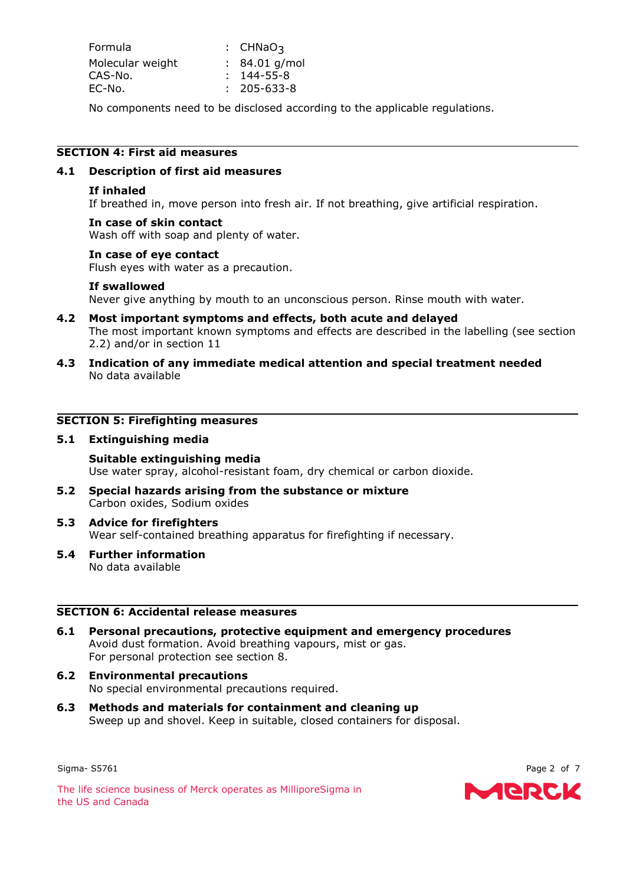| Formula          | : $CHNaO3$        |
|------------------|-------------------|
| Molecular weight | $: 84.01$ g/mol   |
| CAS-No.          | $: 144 - 55 - 8$  |
| EC-No.           | $: 205 - 633 - 8$ |

No components need to be disclosed according to the applicable regulations.

## **SECTION 4: First aid measures**

#### **4.1 Description of first aid measures**

## **If inhaled**

If breathed in, move person into fresh air. If not breathing, give artificial respiration.

#### **In case of skin contact**

Wash off with soap and plenty of water.

#### **In case of eye contact**

Flush eyes with water as a precaution.

#### **If swallowed**

Never give anything by mouth to an unconscious person. Rinse mouth with water.

- **4.2 Most important symptoms and effects, both acute and delayed** The most important known symptoms and effects are described in the labelling (see section 2.2) and/or in section 11
- **4.3 Indication of any immediate medical attention and special treatment needed** No data available

## **SECTION 5: Firefighting measures**

#### **5.1 Extinguishing media**

#### **Suitable extinguishing media**

Use water spray, alcohol-resistant foam, dry chemical or carbon dioxide.

- **5.2 Special hazards arising from the substance or mixture** Carbon oxides, Sodium oxides
- **5.3 Advice for firefighters** Wear self-contained breathing apparatus for firefighting if necessary.
- **5.4 Further information** No data available

#### **SECTION 6: Accidental release measures**

- **6.1 Personal precautions, protective equipment and emergency procedures** Avoid dust formation. Avoid breathing vapours, mist or gas. For personal protection see section 8.
- **6.2 Environmental precautions** No special environmental precautions required.
- **6.3 Methods and materials for containment and cleaning up** Sweep up and shovel. Keep in suitable, closed containers for disposal.

Sigma- S5761 Page 2 of 7

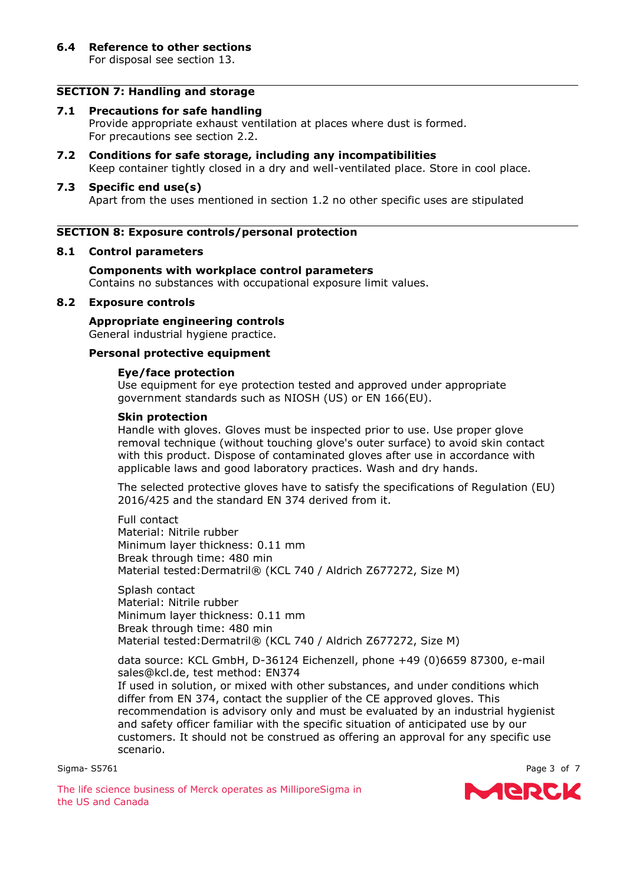For disposal see section 13.

# **SECTION 7: Handling and storage**

#### **7.1 Precautions for safe handling**

Provide appropriate exhaust ventilation at places where dust is formed. For precautions see section 2.2.

**7.2 Conditions for safe storage, including any incompatibilities** Keep container tightly closed in a dry and well-ventilated place. Store in cool place.

#### **7.3 Specific end use(s)**

Apart from the uses mentioned in section 1.2 no other specific uses are stipulated

#### **SECTION 8: Exposure controls/personal protection**

#### **8.1 Control parameters**

**Components with workplace control parameters** Contains no substances with occupational exposure limit values.

#### **8.2 Exposure controls**

**Appropriate engineering controls** General industrial hygiene practice.

#### **Personal protective equipment**

#### **Eye/face protection**

Use equipment for eye protection tested and approved under appropriate government standards such as NIOSH (US) or EN 166(EU).

#### **Skin protection**

Handle with gloves. Gloves must be inspected prior to use. Use proper glove removal technique (without touching glove's outer surface) to avoid skin contact with this product. Dispose of contaminated gloves after use in accordance with applicable laws and good laboratory practices. Wash and dry hands.

The selected protective gloves have to satisfy the specifications of Regulation (EU) 2016/425 and the standard EN 374 derived from it.

Full contact Material: Nitrile rubber Minimum layer thickness: 0.11 mm Break through time: 480 min Material tested:Dermatril® (KCL 740 / Aldrich Z677272, Size M)

Splash contact Material: Nitrile rubber Minimum layer thickness: 0.11 mm Break through time: 480 min Material tested:Dermatril® (KCL 740 / Aldrich Z677272, Size M)

data source: KCL GmbH, D-36124 Eichenzell, phone +49 (0)6659 87300, e-mail sales@kcl.de, test method: EN374

If used in solution, or mixed with other substances, and under conditions which differ from EN 374, contact the supplier of the CE approved gloves. This recommendation is advisory only and must be evaluated by an industrial hygienist and safety officer familiar with the specific situation of anticipated use by our customers. It should not be construed as offering an approval for any specific use scenario.

Sigma- S5761 Page 3 of 7

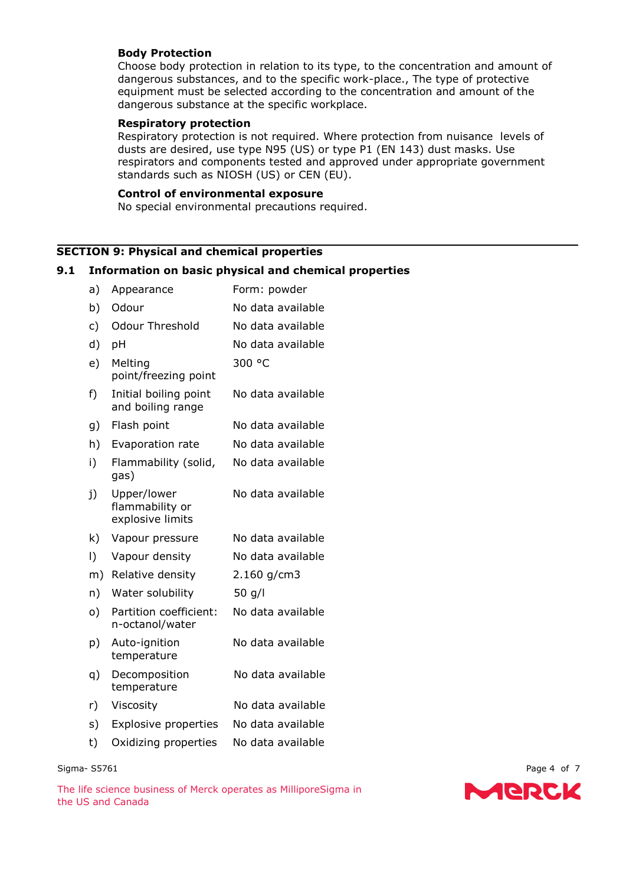### **Body Protection**

Choose body protection in relation to its type, to the concentration and amount of dangerous substances, and to the specific work-place., The type of protective equipment must be selected according to the concentration and amount of the dangerous substance at the specific workplace.

#### **Respiratory protection**

Respiratory protection is not required. Where protection from nuisance levels of dusts are desired, use type N95 (US) or type P1 (EN 143) dust masks. Use respirators and components tested and approved under appropriate government standards such as NIOSH (US) or CEN (EU).

#### **Control of environmental exposure**

No special environmental precautions required.

## **SECTION 9: Physical and chemical properties**

#### **9.1 Information on basic physical and chemical properties**

| a) | Appearance                                         | Form: powder      |
|----|----------------------------------------------------|-------------------|
| b) | Odour                                              | No data available |
| c) | <b>Odour Threshold</b>                             | No data available |
| d) | pH                                                 | No data available |
| e) | Melting<br>point/freezing point                    | 300 °C            |
| f) | Initial boiling point<br>and boiling range         | No data available |
| g) | Flash point                                        | No data available |
| h) | Evaporation rate                                   | No data available |
| i) | Flammability (solid,<br>gas)                       | No data available |
| j) | Upper/lower<br>flammability or<br>explosive limits | No data available |
| k) | Vapour pressure                                    | No data available |
| I) | Vapour density                                     | No data available |
| m) | Relative density                                   | $2.160$ g/cm3     |
| n) | Water solubility                                   | 50 $g/l$          |
| o) | Partition coefficient:<br>n-octanol/water          | No data available |
| p) | Auto-ignition<br>temperature                       | No data available |
| q) | Decomposition<br>temperature                       | No data available |
| r) | Viscosity                                          | No data available |
| s) | <b>Explosive properties</b>                        | No data available |
| t) | Oxidizing properties                               | No data available |

#### Sigma- S5761 Page 4 of 7

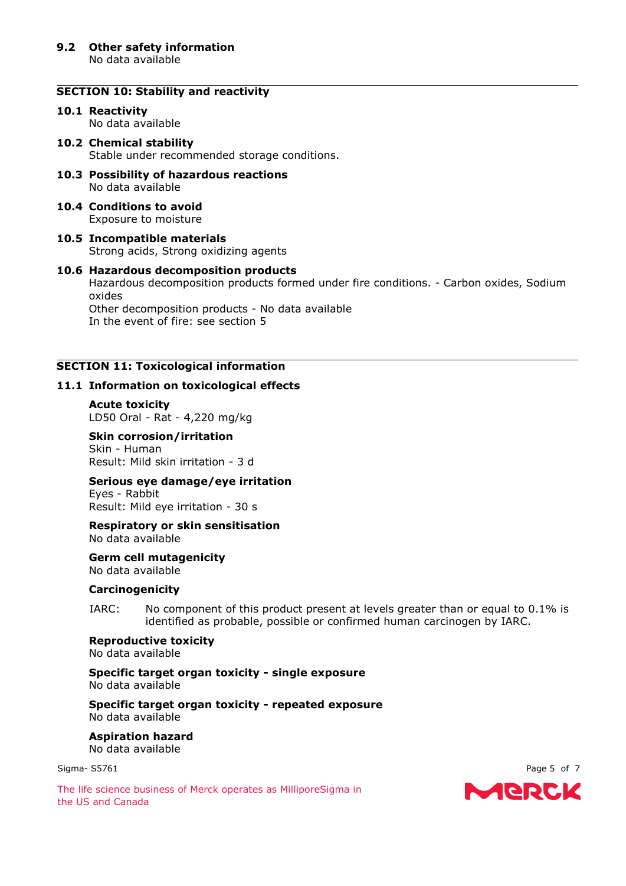#### **SECTION 10: Stability and reactivity**

# **10.1 Reactivity**

No data available

#### **10.2 Chemical stability** Stable under recommended storage conditions.

- **10.3 Possibility of hazardous reactions** No data available
- **10.4 Conditions to avoid** Exposure to moisture
- **10.5 Incompatible materials** Strong acids, Strong oxidizing agents

## **10.6 Hazardous decomposition products** Hazardous decomposition products formed under fire conditions. - Carbon oxides, Sodium oxides Other decomposition products - No data available In the event of fire: see section 5

# **SECTION 11: Toxicological information**

#### **11.1 Information on toxicological effects**

**Acute toxicity** LD50 Oral - Rat - 4,220 mg/kg

#### **Skin corrosion/irritation** Skin - Human Result: Mild skin irritation - 3 d

# **Serious eye damage/eye irritation**

Eyes - Rabbit Result: Mild eye irritation - 30 s

**Respiratory or skin sensitisation** No data available

**Germ cell mutagenicity** No data available

#### **Carcinogenicity**

IARC: No component of this product present at levels greater than or equal to 0.1% is identified as probable, possible or confirmed human carcinogen by IARC.

**Reproductive toxicity** No data available

#### **Specific target organ toxicity - single exposure** No data available

**Specific target organ toxicity - repeated exposure** No data available

**Aspiration hazard** No data available

Sigma- S5761 Page 5 of 7

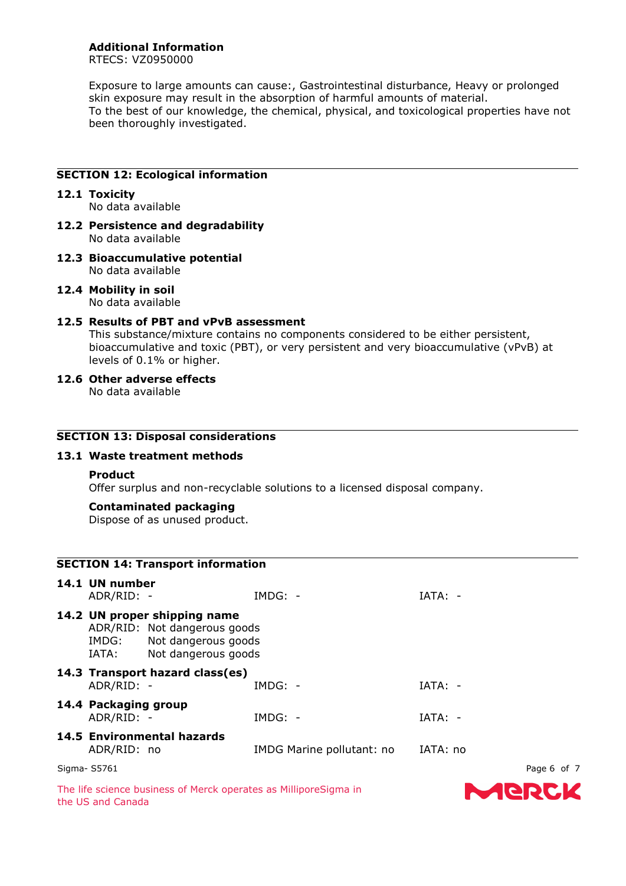**Additional Information**

RTECS: VZ0950000

Exposure to large amounts can cause:, Gastrointestinal disturbance, Heavy or prolonged skin exposure may result in the absorption of harmful amounts of material. To the best of our knowledge, the chemical, physical, and toxicological properties have not been thoroughly investigated.

## **SECTION 12: Ecological information**

#### **12.1 Toxicity**

No data available

- **12.2 Persistence and degradability** No data available
- **12.3 Bioaccumulative potential** No data available
- **12.4 Mobility in soil** No data available

## **12.5 Results of PBT and vPvB assessment**

This substance/mixture contains no components considered to be either persistent, bioaccumulative and toxic (PBT), or very persistent and very bioaccumulative (vPvB) at levels of 0.1% or higher.

## **12.6 Other adverse effects**

No data available

#### **SECTION 13: Disposal considerations**

#### **13.1 Waste treatment methods**

#### **Product**

Offer surplus and non-recyclable solutions to a licensed disposal company.

#### **Contaminated packaging**

Dispose of as unused product.

|                                                                                                                        | <b>SECTION 14: Transport information</b> |                                                                  |           |             |  |  |
|------------------------------------------------------------------------------------------------------------------------|------------------------------------------|------------------------------------------------------------------|-----------|-------------|--|--|
| 14.1 UN number<br>ADR/RID: -                                                                                           |                                          | $IMDG: -$                                                        | $IATA: -$ |             |  |  |
| 14.2 UN proper shipping name<br>ADR/RID: Not dangerous goods<br>IMDG: Not dangerous goods<br>IATA: Not dangerous goods |                                          |                                                                  |           |             |  |  |
| ADR/RID: -                                                                                                             | 14.3 Transport hazard class(es)          | $IMDG: -$                                                        | $IATA: -$ |             |  |  |
| 14.4 Packaging group<br>ADR/RID: -                                                                                     |                                          | $IMDG: -$                                                        | $IATA: -$ |             |  |  |
| ADR/RID: no                                                                                                            | 14.5 Environmental hazards               | IMDG Marine pollutant: no                                        | IATA: no  |             |  |  |
| Sigma- S5761                                                                                                           |                                          |                                                                  |           | Page 6 of 7 |  |  |
|                                                                                                                        |                                          | The life science business of Merck operates as MilliporeSigma in |           |             |  |  |

the US and Canada